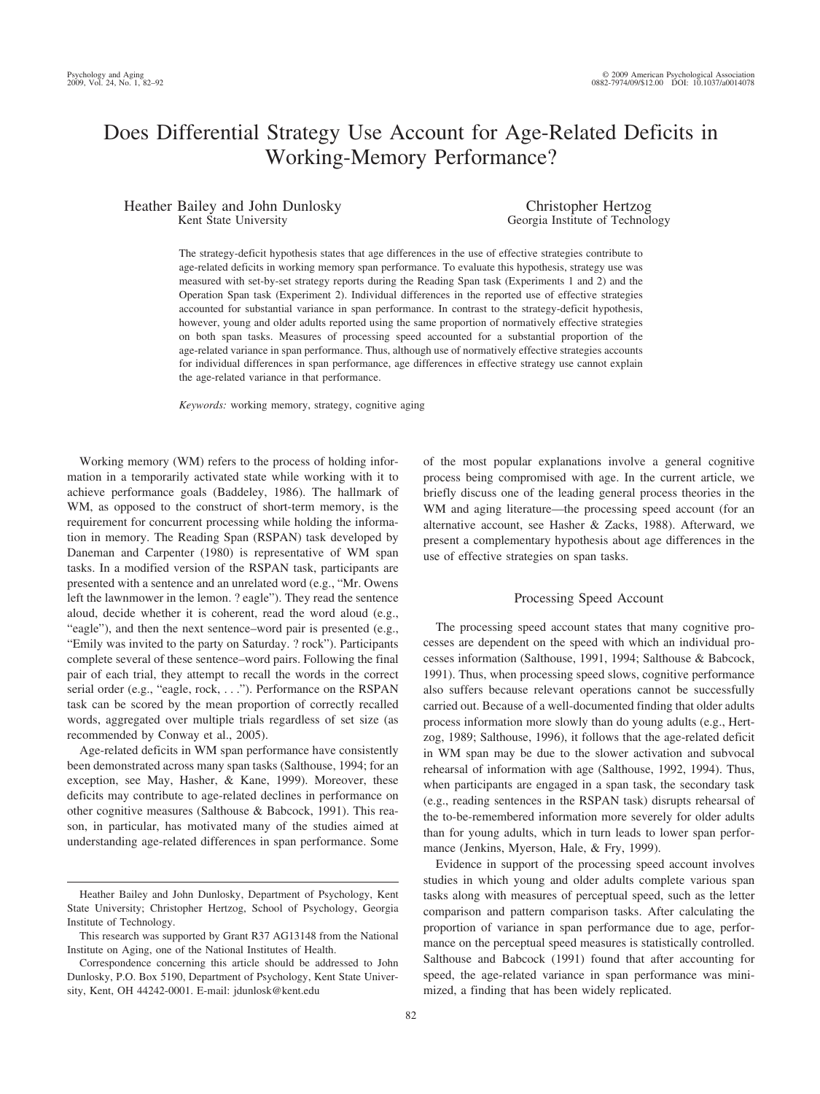# Does Differential Strategy Use Account for Age-Related Deficits in Working-Memory Performance?

## Heather Bailey and John Dunlosky Kent State University

Christopher Hertzog Georgia Institute of Technology

The strategy-deficit hypothesis states that age differences in the use of effective strategies contribute to age-related deficits in working memory span performance. To evaluate this hypothesis, strategy use was measured with set-by-set strategy reports during the Reading Span task (Experiments 1 and 2) and the Operation Span task (Experiment 2). Individual differences in the reported use of effective strategies accounted for substantial variance in span performance. In contrast to the strategy-deficit hypothesis, however, young and older adults reported using the same proportion of normatively effective strategies on both span tasks. Measures of processing speed accounted for a substantial proportion of the age-related variance in span performance. Thus, although use of normatively effective strategies accounts for individual differences in span performance, age differences in effective strategy use cannot explain the age-related variance in that performance.

*Keywords:* working memory, strategy, cognitive aging

Working memory (WM) refers to the process of holding information in a temporarily activated state while working with it to achieve performance goals (Baddeley, 1986). The hallmark of WM, as opposed to the construct of short-term memory, is the requirement for concurrent processing while holding the information in memory. The Reading Span (RSPAN) task developed by Daneman and Carpenter (1980) is representative of WM span tasks. In a modified version of the RSPAN task, participants are presented with a sentence and an unrelated word (e.g., "Mr. Owens left the lawnmower in the lemon. ? eagle"). They read the sentence aloud, decide whether it is coherent, read the word aloud (e.g., "eagle"), and then the next sentence–word pair is presented (e.g., "Emily was invited to the party on Saturday. ? rock"). Participants complete several of these sentence–word pairs. Following the final pair of each trial, they attempt to recall the words in the correct serial order (e.g., "eagle, rock, . . ."). Performance on the RSPAN task can be scored by the mean proportion of correctly recalled words, aggregated over multiple trials regardless of set size (as recommended by Conway et al., 2005).

Age-related deficits in WM span performance have consistently been demonstrated across many span tasks (Salthouse, 1994; for an exception, see May, Hasher, & Kane, 1999). Moreover, these deficits may contribute to age-related declines in performance on other cognitive measures (Salthouse & Babcock, 1991). This reason, in particular, has motivated many of the studies aimed at understanding age-related differences in span performance. Some

of the most popular explanations involve a general cognitive process being compromised with age. In the current article, we briefly discuss one of the leading general process theories in the WM and aging literature—the processing speed account (for an alternative account, see Hasher & Zacks, 1988). Afterward, we present a complementary hypothesis about age differences in the use of effective strategies on span tasks.

## Processing Speed Account

The processing speed account states that many cognitive processes are dependent on the speed with which an individual processes information (Salthouse, 1991, 1994; Salthouse & Babcock, 1991). Thus, when processing speed slows, cognitive performance also suffers because relevant operations cannot be successfully carried out. Because of a well-documented finding that older adults process information more slowly than do young adults (e.g., Hertzog, 1989; Salthouse, 1996), it follows that the age-related deficit in WM span may be due to the slower activation and subvocal rehearsal of information with age (Salthouse, 1992, 1994). Thus, when participants are engaged in a span task, the secondary task (e.g., reading sentences in the RSPAN task) disrupts rehearsal of the to-be-remembered information more severely for older adults than for young adults, which in turn leads to lower span performance (Jenkins, Myerson, Hale, & Fry, 1999).

Evidence in support of the processing speed account involves studies in which young and older adults complete various span tasks along with measures of perceptual speed, such as the letter comparison and pattern comparison tasks. After calculating the proportion of variance in span performance due to age, performance on the perceptual speed measures is statistically controlled. Salthouse and Babcock (1991) found that after accounting for speed, the age-related variance in span performance was minimized, a finding that has been widely replicated.

Heather Bailey and John Dunlosky, Department of Psychology, Kent State University; Christopher Hertzog, School of Psychology, Georgia Institute of Technology.

This research was supported by Grant R37 AG13148 from the National Institute on Aging, one of the National Institutes of Health.

Correspondence concerning this article should be addressed to John Dunlosky, P.O. Box 5190, Department of Psychology, Kent State University, Kent, OH 44242-0001. E-mail: jdunlosk@kent.edu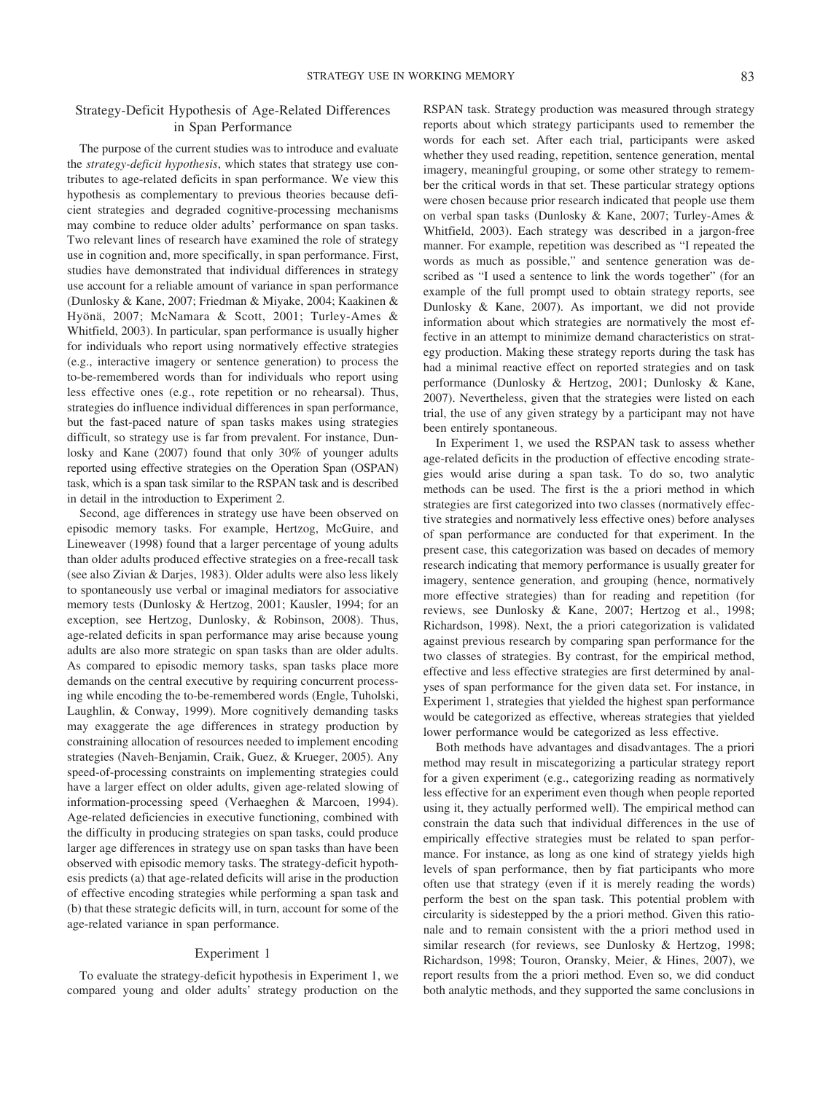# Strategy-Deficit Hypothesis of Age-Related Differences in Span Performance

The purpose of the current studies was to introduce and evaluate the *strategy-deficit hypothesis*, which states that strategy use contributes to age-related deficits in span performance. We view this hypothesis as complementary to previous theories because deficient strategies and degraded cognitive-processing mechanisms may combine to reduce older adults' performance on span tasks. Two relevant lines of research have examined the role of strategy use in cognition and, more specifically, in span performance. First, studies have demonstrated that individual differences in strategy use account for a reliable amount of variance in span performance (Dunlosky & Kane, 2007; Friedman & Miyake, 2004; Kaakinen & Hyönä, 2007; McNamara & Scott, 2001; Turley-Ames & Whitfield, 2003). In particular, span performance is usually higher for individuals who report using normatively effective strategies (e.g., interactive imagery or sentence generation) to process the to-be-remembered words than for individuals who report using less effective ones (e.g., rote repetition or no rehearsal). Thus, strategies do influence individual differences in span performance, but the fast-paced nature of span tasks makes using strategies difficult, so strategy use is far from prevalent. For instance, Dunlosky and Kane (2007) found that only 30% of younger adults reported using effective strategies on the Operation Span (OSPAN) task, which is a span task similar to the RSPAN task and is described in detail in the introduction to Experiment 2.

Second, age differences in strategy use have been observed on episodic memory tasks. For example, Hertzog, McGuire, and Lineweaver (1998) found that a larger percentage of young adults than older adults produced effective strategies on a free-recall task (see also Zivian & Darjes, 1983). Older adults were also less likely to spontaneously use verbal or imaginal mediators for associative memory tests (Dunlosky & Hertzog, 2001; Kausler, 1994; for an exception, see Hertzog, Dunlosky, & Robinson, 2008). Thus, age-related deficits in span performance may arise because young adults are also more strategic on span tasks than are older adults. As compared to episodic memory tasks, span tasks place more demands on the central executive by requiring concurrent processing while encoding the to-be-remembered words (Engle, Tuholski, Laughlin, & Conway, 1999). More cognitively demanding tasks may exaggerate the age differences in strategy production by constraining allocation of resources needed to implement encoding strategies (Naveh-Benjamin, Craik, Guez, & Krueger, 2005). Any speed-of-processing constraints on implementing strategies could have a larger effect on older adults, given age-related slowing of information-processing speed (Verhaeghen & Marcoen, 1994). Age-related deficiencies in executive functioning, combined with the difficulty in producing strategies on span tasks, could produce larger age differences in strategy use on span tasks than have been observed with episodic memory tasks. The strategy-deficit hypothesis predicts (a) that age-related deficits will arise in the production of effective encoding strategies while performing a span task and (b) that these strategic deficits will, in turn, account for some of the age-related variance in span performance.

#### Experiment 1

To evaluate the strategy-deficit hypothesis in Experiment 1, we compared young and older adults' strategy production on the RSPAN task. Strategy production was measured through strategy reports about which strategy participants used to remember the words for each set. After each trial, participants were asked whether they used reading, repetition, sentence generation, mental imagery, meaningful grouping, or some other strategy to remember the critical words in that set. These particular strategy options were chosen because prior research indicated that people use them on verbal span tasks (Dunlosky & Kane, 2007; Turley-Ames & Whitfield, 2003). Each strategy was described in a jargon-free manner. For example, repetition was described as "I repeated the words as much as possible," and sentence generation was described as "I used a sentence to link the words together" (for an example of the full prompt used to obtain strategy reports, see Dunlosky & Kane, 2007). As important, we did not provide information about which strategies are normatively the most effective in an attempt to minimize demand characteristics on strategy production. Making these strategy reports during the task has had a minimal reactive effect on reported strategies and on task performance (Dunlosky & Hertzog, 2001; Dunlosky & Kane, 2007). Nevertheless, given that the strategies were listed on each trial, the use of any given strategy by a participant may not have been entirely spontaneous.

In Experiment 1, we used the RSPAN task to assess whether age-related deficits in the production of effective encoding strategies would arise during a span task. To do so, two analytic methods can be used. The first is the a priori method in which strategies are first categorized into two classes (normatively effective strategies and normatively less effective ones) before analyses of span performance are conducted for that experiment. In the present case, this categorization was based on decades of memory research indicating that memory performance is usually greater for imagery, sentence generation, and grouping (hence, normatively more effective strategies) than for reading and repetition (for reviews, see Dunlosky & Kane, 2007; Hertzog et al., 1998; Richardson, 1998). Next, the a priori categorization is validated against previous research by comparing span performance for the two classes of strategies. By contrast, for the empirical method, effective and less effective strategies are first determined by analyses of span performance for the given data set. For instance, in Experiment 1, strategies that yielded the highest span performance would be categorized as effective, whereas strategies that yielded lower performance would be categorized as less effective.

Both methods have advantages and disadvantages. The a priori method may result in miscategorizing a particular strategy report for a given experiment (e.g., categorizing reading as normatively less effective for an experiment even though when people reported using it, they actually performed well). The empirical method can constrain the data such that individual differences in the use of empirically effective strategies must be related to span performance. For instance, as long as one kind of strategy yields high levels of span performance, then by fiat participants who more often use that strategy (even if it is merely reading the words) perform the best on the span task. This potential problem with circularity is sidestepped by the a priori method. Given this rationale and to remain consistent with the a priori method used in similar research (for reviews, see Dunlosky & Hertzog, 1998; Richardson, 1998; Touron, Oransky, Meier, & Hines, 2007), we report results from the a priori method. Even so, we did conduct both analytic methods, and they supported the same conclusions in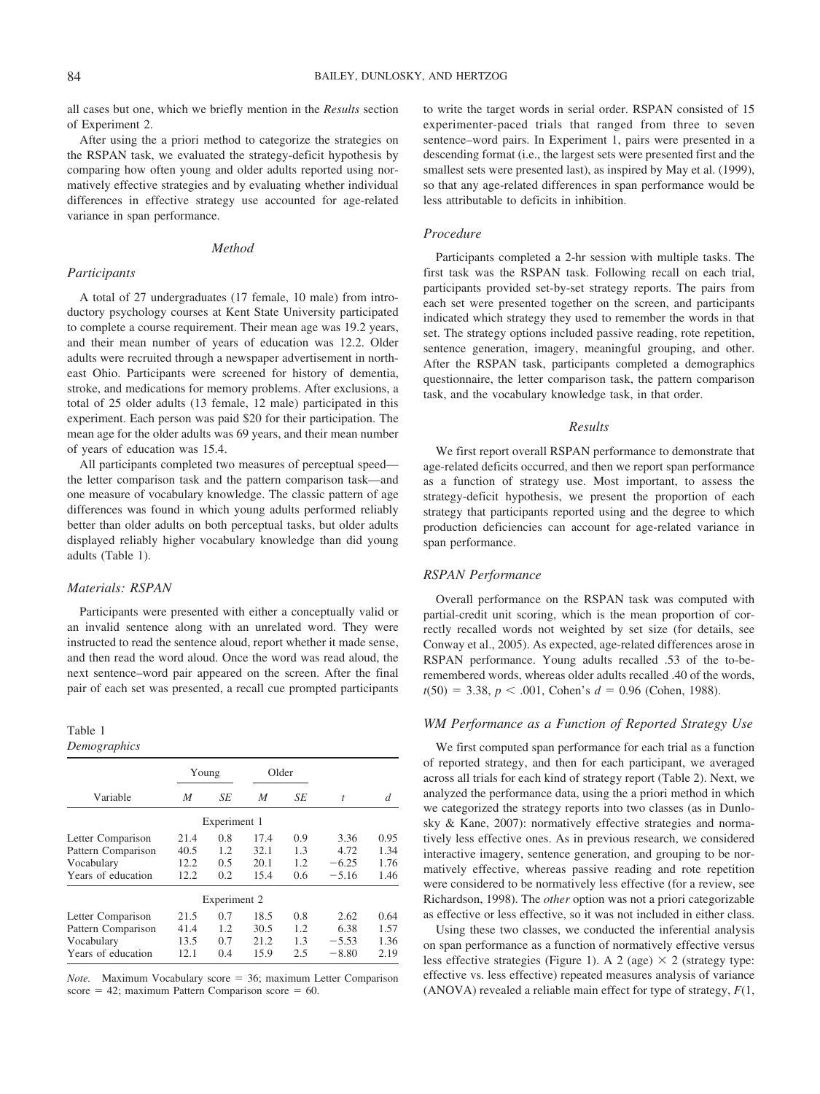all cases but one, which we briefly mention in the *Results* section of Experiment 2.

After using the a priori method to categorize the strategies on the RSPAN task, we evaluated the strategy-deficit hypothesis by comparing how often young and older adults reported using normatively effective strategies and by evaluating whether individual differences in effective strategy use accounted for age-related variance in span performance.

# *Method*

## *Participants*

A total of 27 undergraduates (17 female, 10 male) from introductory psychology courses at Kent State University participated to complete a course requirement. Their mean age was 19.2 years, and their mean number of years of education was 12.2. Older adults were recruited through a newspaper advertisement in northeast Ohio. Participants were screened for history of dementia, stroke, and medications for memory problems. After exclusions, a total of 25 older adults (13 female, 12 male) participated in this experiment. Each person was paid \$20 for their participation. The mean age for the older adults was 69 years, and their mean number of years of education was 15.4.

All participants completed two measures of perceptual speed the letter comparison task and the pattern comparison task—and one measure of vocabulary knowledge. The classic pattern of age differences was found in which young adults performed reliably better than older adults on both perceptual tasks, but older adults displayed reliably higher vocabulary knowledge than did young adults (Table 1).

#### *Materials: RSPAN*

Participants were presented with either a conceptually valid or an invalid sentence along with an unrelated word. They were instructed to read the sentence aloud, report whether it made sense, and then read the word aloud. Once the word was read aloud, the next sentence–word pair appeared on the screen. After the final pair of each set was presented, a recall cue prompted participants

Table 1

*Demographics*

|                    | Young |              | Older |      |         |      |
|--------------------|-------|--------------|-------|------|---------|------|
| Variable           | M     | SE           | M     | SE   | t       | d    |
|                    |       | Experiment 1 |       |      |         |      |
| Letter Comparison  | 21.4  | 0.8          | 17.4  | 0.9  | 3.36    | 0.95 |
| Pattern Comparison | 40.5  | 1.2          | 32.1  | 1.3  | 4.72    | 1.34 |
| Vocabulary         | 12.2  | 0.5          | 20.1  | 1.2  | $-6.25$ | 1.76 |
| Years of education | 12.2  | 0.2          | 15.4  | 0.6  | $-5.16$ | 1.46 |
|                    |       | Experiment 2 |       |      |         |      |
| Letter Comparison  | 21.5  | 0.7          | 18.5  | 0.8  | 2.62    | 0.64 |
| Pattern Comparison | 41.4  | 1.2          | 30.5  | 1.2. | 6.38    | 1.57 |
| Vocabulary         | 13.5  | 0.7          | 21.2  | 1.3  | $-5.53$ | 1.36 |
| Years of education | 12.1  | 0.4          | 15.9  | 2.5  | $-8.80$ | 2.19 |

*Note.* Maximum Vocabulary score = 36; maximum Letter Comparison score  $= 42$ ; maximum Pattern Comparison score  $= 60$ .

to write the target words in serial order. RSPAN consisted of 15 experimenter-paced trials that ranged from three to seven sentence–word pairs. In Experiment 1, pairs were presented in a descending format (i.e., the largest sets were presented first and the smallest sets were presented last), as inspired by May et al. (1999), so that any age-related differences in span performance would be less attributable to deficits in inhibition.

#### *Procedure*

Participants completed a 2-hr session with multiple tasks. The first task was the RSPAN task. Following recall on each trial, participants provided set-by-set strategy reports. The pairs from each set were presented together on the screen, and participants indicated which strategy they used to remember the words in that set. The strategy options included passive reading, rote repetition, sentence generation, imagery, meaningful grouping, and other. After the RSPAN task, participants completed a demographics questionnaire, the letter comparison task, the pattern comparison task, and the vocabulary knowledge task, in that order.

## *Results*

We first report overall RSPAN performance to demonstrate that age-related deficits occurred, and then we report span performance as a function of strategy use. Most important, to assess the strategy-deficit hypothesis, we present the proportion of each strategy that participants reported using and the degree to which production deficiencies can account for age-related variance in span performance.

#### *RSPAN Performance*

Overall performance on the RSPAN task was computed with partial-credit unit scoring, which is the mean proportion of correctly recalled words not weighted by set size (for details, see Conway et al., 2005). As expected, age-related differences arose in RSPAN performance. Young adults recalled .53 of the to-beremembered words, whereas older adults recalled .40 of the words,  $t(50) = 3.38, p < .001$ , Cohen's  $d = 0.96$  (Cohen, 1988).

#### *WM Performance as a Function of Reported Strategy Use*

We first computed span performance for each trial as a function of reported strategy, and then for each participant, we averaged across all trials for each kind of strategy report (Table 2). Next, we analyzed the performance data, using the a priori method in which we categorized the strategy reports into two classes (as in Dunlosky & Kane, 2007): normatively effective strategies and normatively less effective ones. As in previous research, we considered interactive imagery, sentence generation, and grouping to be normatively effective, whereas passive reading and rote repetition were considered to be normatively less effective (for a review, see Richardson, 1998). The *other* option was not a priori categorizable as effective or less effective, so it was not included in either class.

Using these two classes, we conducted the inferential analysis on span performance as a function of normatively effective versus less effective strategies (Figure 1). A 2 (age)  $\times$  2 (strategy type: effective vs. less effective) repeated measures analysis of variance (ANOVA) revealed a reliable main effect for type of strategy, *F*(1,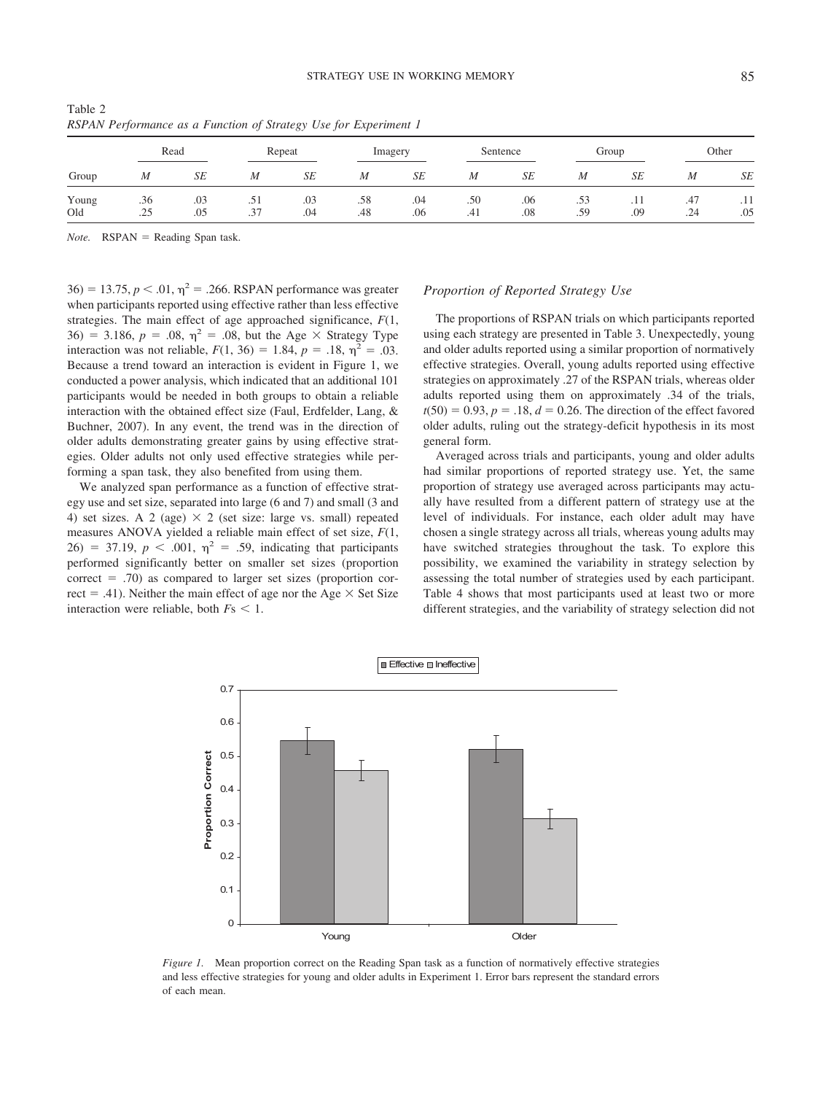Table 2 *RSPAN Performance as a Function of Strategy Use for Experiment 1*

|              |                  | Read       |            | Repeat     |                  | Imagery    |                  | Sentence   |            | Group      |            | Other      |
|--------------|------------------|------------|------------|------------|------------------|------------|------------------|------------|------------|------------|------------|------------|
| Group        | $\boldsymbol{M}$ | SE         | M          | SE         | $\boldsymbol{M}$ | SE         | $\boldsymbol{M}$ | SE         | M          | SE         | M          | SE         |
| Young<br>Old | .36<br>.25       | .03<br>.05 | .51<br>.37 | .03<br>.04 | .58<br>.48       | .04<br>.06 | .50<br>.41       | .06<br>.08 | .53<br>.59 | .11<br>.09 | .47<br>.24 | .11<br>.05 |

*Note.*  $RSPAN = Reading Span task.$ 

 $36$ ) = 13.75,  $p < .01$ ,  $\eta^2$  = .266. RSPAN performance was greater when participants reported using effective rather than less effective strategies. The main effect of age approached significance, *F*(1, 36) = 3.186,  $p = .08$ ,  $\eta^2 = .08$ , but the Age  $\times$  Strategy Type interaction was not reliable,  $F(1, 36) = 1.84$ ,  $p = .18$ ,  $\eta^2 = .03$ . Because a trend toward an interaction is evident in Figure 1, we conducted a power analysis, which indicated that an additional 101 participants would be needed in both groups to obtain a reliable interaction with the obtained effect size (Faul, Erdfelder, Lang, & Buchner, 2007). In any event, the trend was in the direction of older adults demonstrating greater gains by using effective strategies. Older adults not only used effective strategies while performing a span task, they also benefited from using them.

We analyzed span performance as a function of effective strategy use and set size, separated into large (6 and 7) and small (3 and 4) set sizes. A 2 (age)  $\times$  2 (set size: large vs. small) repeated measures ANOVA yielded a reliable main effect of set size, *F*(1,  $26$ ) = 37.19,  $p < .001$ ,  $\eta^2$  = .59, indicating that participants performed significantly better on smaller set sizes (proportion  $correct = .70$ ) as compared to larger set sizes (proportion correct = .41). Neither the main effect of age nor the Age  $\times$  Set Size interaction were reliable, both  $Fs < 1$ .

#### *Proportion of Reported Strategy Use*

The proportions of RSPAN trials on which participants reported using each strategy are presented in Table 3. Unexpectedly, young and older adults reported using a similar proportion of normatively effective strategies. Overall, young adults reported using effective strategies on approximately .27 of the RSPAN trials, whereas older adults reported using them on approximately .34 of the trials,  $t(50) = 0.93$ ,  $p = .18$ ,  $d = 0.26$ . The direction of the effect favored older adults, ruling out the strategy-deficit hypothesis in its most general form.

Averaged across trials and participants, young and older adults had similar proportions of reported strategy use. Yet, the same proportion of strategy use averaged across participants may actually have resulted from a different pattern of strategy use at the level of individuals. For instance, each older adult may have chosen a single strategy across all trials, whereas young adults may have switched strategies throughout the task. To explore this possibility, we examined the variability in strategy selection by assessing the total number of strategies used by each participant. Table 4 shows that most participants used at least two or more different strategies, and the variability of strategy selection did not



*Figure 1.* Mean proportion correct on the Reading Span task as a function of normatively effective strategies and less effective strategies for young and older adults in Experiment 1. Error bars represent the standard errors of each mean.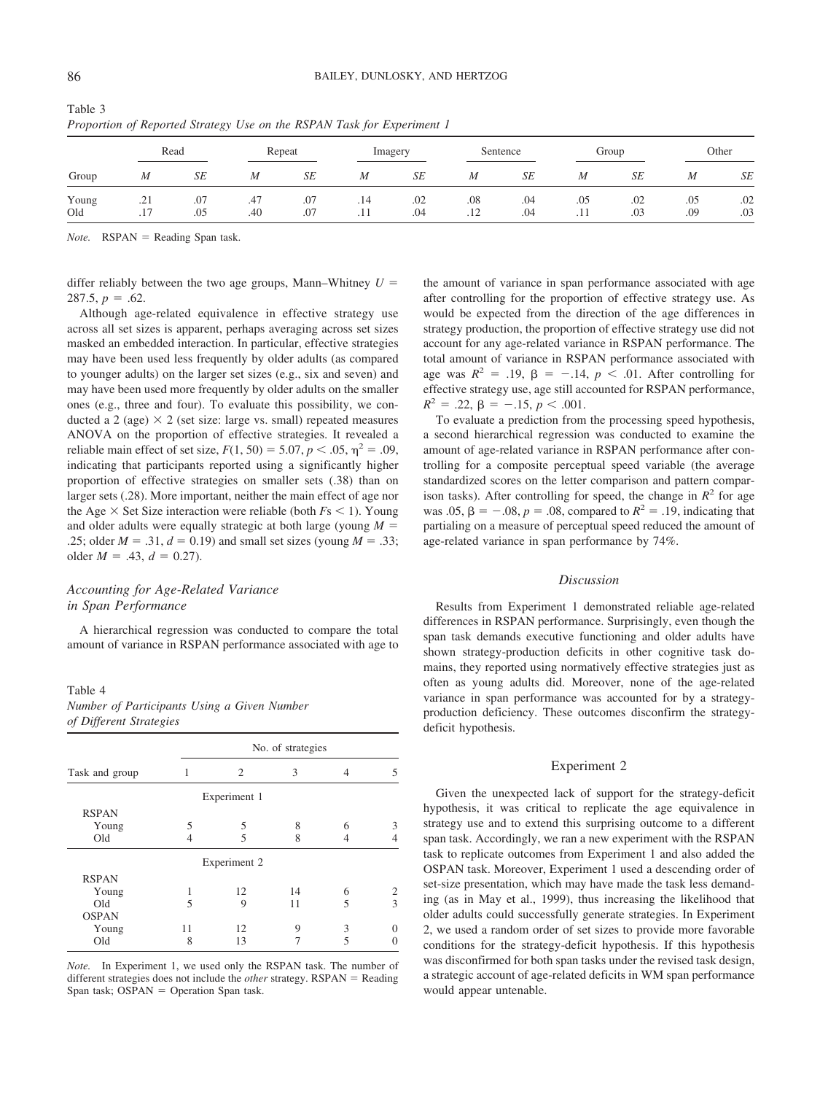|              |                      | $\sim$     |            |            |            |            |            |            |            |            |            |            |
|--------------|----------------------|------------|------------|------------|------------|------------|------------|------------|------------|------------|------------|------------|
|              |                      | Read       |            | Repeat     |            | Imagery    |            | Sentence   |            | Group      |            | Other      |
| Group        | M                    | SE         | M          | SE         | M          | SE         | M          | SE         | M          | SE         | M          | SE         |
| Young<br>Old | .21<br>$\sim$<br>. . | .07<br>.05 | .47<br>.40 | .07<br>.07 | .14<br>.11 | .02<br>.04 | .08<br>.12 | .04<br>.04 | .05<br>.11 | .02<br>.03 | .05<br>.09 | .02<br>.03 |

Table 3 *Proportion of Reported Strategy Use on the RSPAN Task for Experiment 1*

*Note.*  $RSPAN = Reading Span task.$ 

differ reliably between the two age groups, Mann–Whitney  $U =$ 287.5,  $p = .62$ .

Although age-related equivalence in effective strategy use across all set sizes is apparent, perhaps averaging across set sizes masked an embedded interaction. In particular, effective strategies may have been used less frequently by older adults (as compared to younger adults) on the larger set sizes (e.g., six and seven) and may have been used more frequently by older adults on the smaller ones (e.g., three and four). To evaluate this possibility, we conducted a 2 (age)  $\times$  2 (set size: large vs. small) repeated measures ANOVA on the proportion of effective strategies. It revealed a reliable main effect of set size,  $F(1, 50) = 5.07$ ,  $p < .05$ ,  $\eta^2 = .09$ , indicating that participants reported using a significantly higher proportion of effective strategies on smaller sets (.38) than on larger sets (.28). More important, neither the main effect of age nor the Age  $\times$  Set Size interaction were reliable (both  $Fs < 1$ ). Young and older adults were equally strategic at both large (young *M* .25; older  $M = .31$ ,  $d = 0.19$ ) and small set sizes (young  $M = .33$ ; older  $M = .43$ ,  $d = 0.27$ ).

# *Accounting for Age-Related Variance in Span Performance*

A hierarchical regression was conducted to compare the total amount of variance in RSPAN performance associated with age to

Table 4

*Number of Participants Using a Given Number of Different Strategies*

|                |    |              | No. of strategies |   |   |
|----------------|----|--------------|-------------------|---|---|
| Task and group |    | 2            | 3                 |   | 5 |
|                |    | Experiment 1 |                   |   |   |
| <b>RSPAN</b>   |    |              |                   |   |   |
| Young          | 5  | 5            | 8                 | 6 | 3 |
| Old            |    | 5            | 8                 | 4 | 4 |
|                |    | Experiment 2 |                   |   |   |
| <b>RSPAN</b>   |    |              |                   |   |   |
| Young          |    | 12           | 14                | 6 | 2 |
| Old            | 5  | 9            | 11                | 5 | 3 |
| <b>OSPAN</b>   |    |              |                   |   |   |
| Young          | 11 | 12           | 9                 | 3 | 0 |
| Old            | 8  | 13           |                   | 5 | 0 |

*Note.* In Experiment 1, we used only the RSPAN task. The number of different strategies does not include the *other* strategy. RSPAN = Reading Span task;  $OSPAN = Operation Span$  task.

the amount of variance in span performance associated with age after controlling for the proportion of effective strategy use. As would be expected from the direction of the age differences in strategy production, the proportion of effective strategy use did not account for any age-related variance in RSPAN performance. The total amount of variance in RSPAN performance associated with age was  $R^2 = .19$ ,  $\beta = -.14$ ,  $p < .01$ . After controlling for effective strategy use, age still accounted for RSPAN performance,  $R^2 = .22$ ,  $\beta = -.15$ ,  $p < .001$ .

To evaluate a prediction from the processing speed hypothesis, a second hierarchical regression was conducted to examine the amount of age-related variance in RSPAN performance after controlling for a composite perceptual speed variable (the average standardized scores on the letter comparison and pattern comparison tasks). After controlling for speed, the change in  $R^2$  for age was .05,  $\beta = -.08$ ,  $p = .08$ , compared to  $R^2 = .19$ , indicating that partialing on a measure of perceptual speed reduced the amount of age-related variance in span performance by 74%.

#### *Discussion*

Results from Experiment 1 demonstrated reliable age-related differences in RSPAN performance. Surprisingly, even though the span task demands executive functioning and older adults have shown strategy-production deficits in other cognitive task domains, they reported using normatively effective strategies just as often as young adults did. Moreover, none of the age-related variance in span performance was accounted for by a strategyproduction deficiency. These outcomes disconfirm the strategydeficit hypothesis.

#### Experiment 2

Given the unexpected lack of support for the strategy-deficit hypothesis, it was critical to replicate the age equivalence in strategy use and to extend this surprising outcome to a different span task. Accordingly, we ran a new experiment with the RSPAN task to replicate outcomes from Experiment 1 and also added the OSPAN task. Moreover, Experiment 1 used a descending order of set-size presentation, which may have made the task less demanding (as in May et al., 1999), thus increasing the likelihood that older adults could successfully generate strategies. In Experiment 2, we used a random order of set sizes to provide more favorable conditions for the strategy-deficit hypothesis. If this hypothesis was disconfirmed for both span tasks under the revised task design, a strategic account of age-related deficits in WM span performance would appear untenable.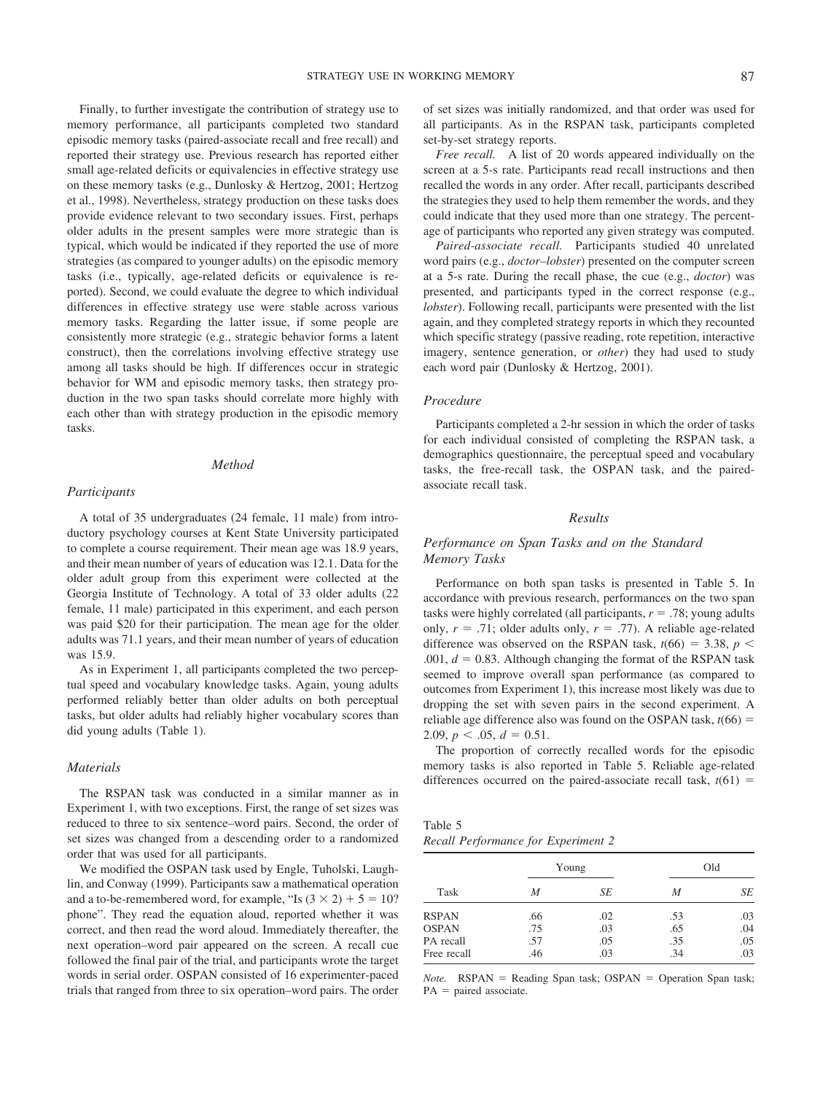Finally, to further investigate the contribution of strategy use to memory performance, all participants completed two standard episodic memory tasks (paired-associate recall and free recall) and reported their strategy use. Previous research has reported either small age-related deficits or equivalencies in effective strategy use on these memory tasks (e.g., Dunlosky & Hertzog, 2001; Hertzog et al., 1998). Nevertheless, strategy production on these tasks does provide evidence relevant to two secondary issues. First, perhaps older adults in the present samples were more strategic than is typical, which would be indicated if they reported the use of more strategies (as compared to younger adults) on the episodic memory tasks (i.e., typically, age-related deficits or equivalence is reported). Second, we could evaluate the degree to which individual differences in effective strategy use were stable across various memory tasks. Regarding the latter issue, if some people are consistently more strategic (e.g., strategic behavior forms a latent construct), then the correlations involving effective strategy use among all tasks should be high. If differences occur in strategic behavior for WM and episodic memory tasks, then strategy production in the two span tasks should correlate more highly with each other than with strategy production in the episodic memory tasks.

#### *Method*

## *Participants*

A total of 35 undergraduates (24 female, 11 male) from introductory psychology courses at Kent State University participated to complete a course requirement. Their mean age was 18.9 years, and their mean number of years of education was 12.1. Data for the older adult group from this experiment were collected at the Georgia Institute of Technology. A total of 33 older adults (22 female, 11 male) participated in this experiment, and each person was paid \$20 for their participation. The mean age for the older adults was 71.1 years, and their mean number of years of education was 15.9.

As in Experiment 1, all participants completed the two perceptual speed and vocabulary knowledge tasks. Again, young adults performed reliably better than older adults on both perceptual tasks, but older adults had reliably higher vocabulary scores than did young adults (Table 1).

## *Materials*

The RSPAN task was conducted in a similar manner as in Experiment 1, with two exceptions. First, the range of set sizes was reduced to three to six sentence–word pairs. Second, the order of set sizes was changed from a descending order to a randomized order that was used for all participants.

We modified the OSPAN task used by Engle, Tuholski, Laughlin, and Conway (1999). Participants saw a mathematical operation and a to-be-remembered word, for example, "Is  $(3 \times 2) + 5 = 10$ ? phone". They read the equation aloud, reported whether it was correct, and then read the word aloud. Immediately thereafter, the next operation–word pair appeared on the screen. A recall cue followed the final pair of the trial, and participants wrote the target words in serial order. OSPAN consisted of 16 experimenter-paced trials that ranged from three to six operation–word pairs. The order

of set sizes was initially randomized, and that order was used for all participants. As in the RSPAN task, participants completed set-by-set strategy reports.

*Free recall.* A list of 20 words appeared individually on the screen at a 5-s rate. Participants read recall instructions and then recalled the words in any order. After recall, participants described the strategies they used to help them remember the words, and they could indicate that they used more than one strategy. The percentage of participants who reported any given strategy was computed.

*Paired-associate recall.* Participants studied 40 unrelated word pairs (e.g., *doctor–lobster*) presented on the computer screen at a 5-s rate. During the recall phase, the cue (e.g., *doctor*) was presented, and participants typed in the correct response (e.g., *lobster*). Following recall, participants were presented with the list again, and they completed strategy reports in which they recounted which specific strategy (passive reading, rote repetition, interactive imagery, sentence generation, or *other*) they had used to study each word pair (Dunlosky & Hertzog, 2001).

## *Procedure*

Participants completed a 2-hr session in which the order of tasks for each individual consisted of completing the RSPAN task, a demographics questionnaire, the perceptual speed and vocabulary tasks, the free-recall task, the OSPAN task, and the pairedassociate recall task.

### *Results*

## *Performance on Span Tasks and on the Standard Memory Tasks*

Performance on both span tasks is presented in Table 5. In accordance with previous research, performances on the two span tasks were highly correlated (all participants,  $r = .78$ ; young adults only,  $r = .71$ ; older adults only,  $r = .77$ ). A reliable age-related difference was observed on the RSPAN task,  $t(66) = 3.38$ ,  $p <$ .001,  $d = 0.83$ . Although changing the format of the RSPAN task seemed to improve overall span performance (as compared to outcomes from Experiment 1), this increase most likely was due to dropping the set with seven pairs in the second experiment. A reliable age difference also was found on the OSPAN task,  $t(66)$  =  $2.09, p < .05, d = 0.51.$ 

The proportion of correctly recalled words for the episodic memory tasks is also reported in Table 5. Reliable age-related differences occurred on the paired-associate recall task,  $t(61)$  =

Table 5 *Recall Performance for Experiment 2*

|              |     | Young |     | Old |
|--------------|-----|-------|-----|-----|
| Task         | M   | SE    | M   | SЕ  |
| RSPAN        | .66 | .02   | .53 | .03 |
| <b>OSPAN</b> | .75 | .03   | .65 | .04 |
| PA recall    | .57 | .05   | .35 | .05 |
| Free recall  | .46 | .03   | .34 | .03 |
|              |     |       |     |     |

*Note.*  $RSPAN = Reading$  Span task;  $OSPAN = Operation$  Span task;  $PA =$  paired associate.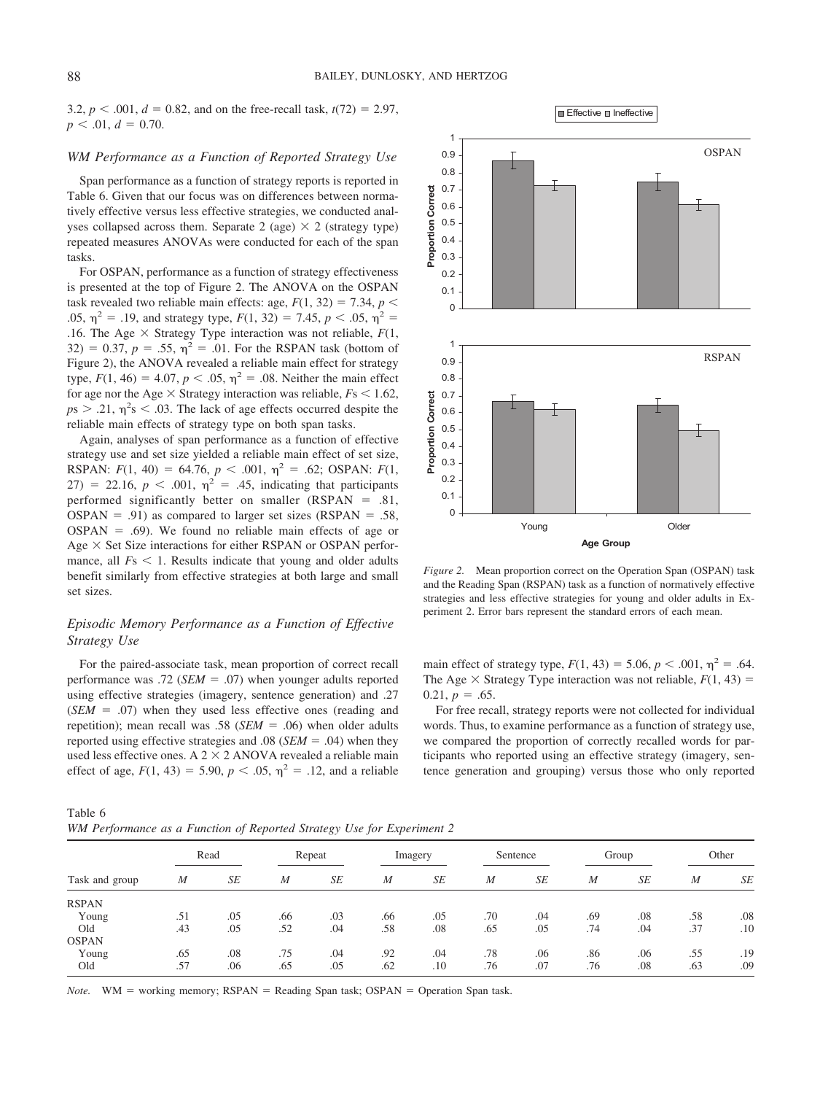3.2,  $p < .001$ ,  $d = 0.82$ , and on the free-recall task,  $t(72) = 2.97$ ,  $p < .01, d = 0.70.$ 

#### *WM Performance as a Function of Reported Strategy Use*

Span performance as a function of strategy reports is reported in Table 6. Given that our focus was on differences between normatively effective versus less effective strategies, we conducted analyses collapsed across them. Separate 2 (age)  $\times$  2 (strategy type) repeated measures ANOVAs were conducted for each of the span tasks.

For OSPAN, performance as a function of strategy effectiveness is presented at the top of Figure 2. The ANOVA on the OSPAN task revealed two reliable main effects: age,  $F(1, 32) = 7.34$ ,  $p <$ .05,  $\eta^2 = .19$ , and strategy type,  $F(1, 32) = 7.45$ ,  $p < .05$ ,  $\eta^2 =$ .16. The Age  $\times$  Strategy Type interaction was not reliable,  $F(1, 1)$ 32) = 0.37,  $p = .55$ ,  $\eta^2 = .01$ . For the RSPAN task (bottom of Figure 2), the ANOVA revealed a reliable main effect for strategy type,  $F(1, 46) = 4.07$ ,  $p < .05$ ,  $\eta^2 = .08$ . Neither the main effect for age nor the Age  $\times$  Strategy interaction was reliable,  $Fs < 1.62$ ,  $p s > .21$ ,  $\eta^2 s < .03$ . The lack of age effects occurred despite the reliable main effects of strategy type on both span tasks.

Again, analyses of span performance as a function of effective strategy use and set size yielded a reliable main effect of set size, RSPAN:  $F(1, 40) = 64.76$ ,  $p < .001$ ,  $\eta^2 = .62$ ; OSPAN:  $F(1, 40)$ 27) = 22.16,  $p < .001$ ,  $\eta^2 = .45$ , indicating that participants performed significantly better on smaller (RSPAN  $= .81$ , OSPAN = .91) as compared to larger set sizes (RSPAN = .58,  $OSPAN = .69$ ). We found no reliable main effects of age or Age  $\times$  Set Size interactions for either RSPAN or OSPAN performance, all  $Fs < 1$ . Results indicate that young and older adults benefit similarly from effective strategies at both large and small set sizes.

## *Episodic Memory Performance as a Function of Effective Strategy Use*

For the paired-associate task, mean proportion of correct recall performance was .72 ( $SEM = .07$ ) when younger adults reported using effective strategies (imagery, sentence generation) and .27  $(SEM = .07)$  when they used less effective ones (reading and repetition); mean recall was .58 ( $SEM = .06$ ) when older adults reported using effective strategies and .08 (*SEM*  $=$  .04) when they used less effective ones. A  $2 \times 2$  ANOVA revealed a reliable main effect of age,  $F(1, 43) = 5.90, p < .05, \eta^2 = .12$ , and a reliable

Table 6 *WM Performance as a Function of Reported Strategy Use for Experiment 2*



*Figure 2.* Mean proportion correct on the Operation Span (OSPAN) task and the Reading Span (RSPAN) task as a function of normatively effective strategies and less effective strategies for young and older adults in Experiment 2. Error bars represent the standard errors of each mean.

main effect of strategy type,  $F(1, 43) = 5.06$ ,  $p < .001$ ,  $\eta^2 = .64$ . The Age  $\times$  Strategy Type interaction was not reliable,  $F(1, 43)$  = 0.21,  $p = .65$ .

For free recall, strategy reports were not collected for individual words. Thus, to examine performance as a function of strategy use, we compared the proportion of correctly recalled words for participants who reported using an effective strategy (imagery, sentence generation and grouping) versus those who only reported

| win Performance as a Punction of Reported Strategy Ose for Experiment 2 |     |      |     |        |     |         |                  |          |     |       |                  |       |
|-------------------------------------------------------------------------|-----|------|-----|--------|-----|---------|------------------|----------|-----|-------|------------------|-------|
|                                                                         |     | Read |     | Repeat |     | Imagery |                  | Sentence |     | Group |                  | Other |
| Task and group                                                          | M   | SE   | M   | SE     | M   | SE      | $\boldsymbol{M}$ | SE       | M   | SE    | $\boldsymbol{M}$ | SE    |
| <b>RSPAN</b>                                                            |     |      |     |        |     |         |                  |          |     |       |                  |       |
| Young                                                                   | .51 | .05  | .66 | .03    | .66 | .05     | .70              | .04      | .69 | .08   | .58              | .08   |
| Old                                                                     | .43 | .05  | .52 | .04    | .58 | .08     | .65              | .05      | .74 | .04   | .37              | .10   |
| <b>OSPAN</b>                                                            |     |      |     |        |     |         |                  |          |     |       |                  |       |
| Young                                                                   | .65 | .08  | .75 | .04    | .92 | .04     | .78              | .06      | .86 | .06   | .55              | .19   |
| Old                                                                     | .57 | .06  | .65 | .05    | .62 | .10     | .76              | .07      | .76 | .08   | .63              | .09   |

*Note.* WM = working memory;  $RSPAN =$  Reading Span task;  $OSPAN =$  Operation Span task.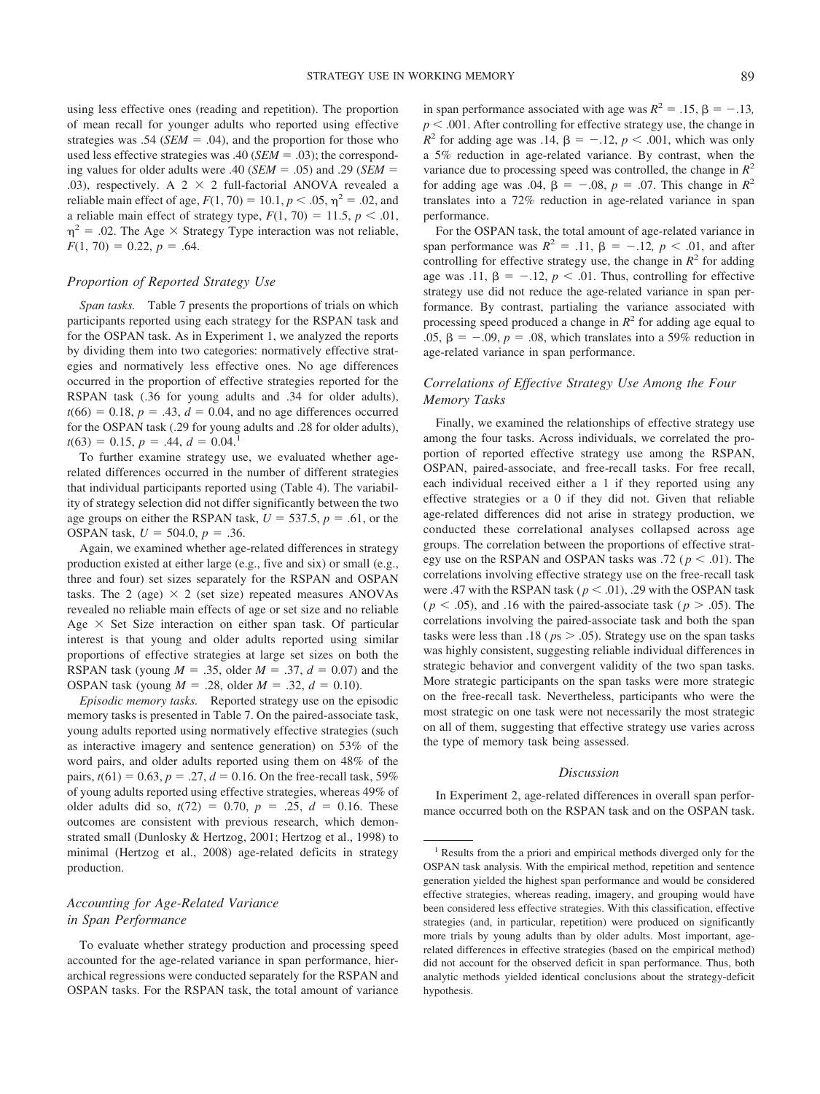using less effective ones (reading and repetition). The proportion of mean recall for younger adults who reported using effective strategies was .54 ( $SEM = .04$ ), and the proportion for those who used less effective strategies was .40 ( $SEM = .03$ ); the corresponding values for older adults were .40 (*SEM* = .05) and .29 (*SEM* = .03), respectively. A  $2 \times 2$  full-factorial ANOVA revealed a reliable main effect of age,  $F(1, 70) = 10.1, p < .05, \eta^2 = .02$ , and a reliable main effect of strategy type,  $F(1, 70) = 11.5$ ,  $p < .01$ ,  $\eta^2$  = .02. The Age  $\times$  Strategy Type interaction was not reliable,  $F(1, 70) = 0.22, p = .64.$ 

#### *Proportion of Reported Strategy Use*

*Span tasks.* Table 7 presents the proportions of trials on which participants reported using each strategy for the RSPAN task and for the OSPAN task. As in Experiment 1, we analyzed the reports by dividing them into two categories: normatively effective strategies and normatively less effective ones. No age differences occurred in the proportion of effective strategies reported for the RSPAN task (.36 for young adults and .34 for older adults),  $t(66) = 0.18$ ,  $p = .43$ ,  $d = 0.04$ , and no age differences occurred for the OSPAN task (.29 for young adults and .28 for older adults),  $t(63) = 0.15$ ,  $p = .44$ ,  $d = 0.04$ .<sup>1</sup>

To further examine strategy use, we evaluated whether agerelated differences occurred in the number of different strategies that individual participants reported using (Table 4). The variability of strategy selection did not differ significantly between the two age groups on either the RSPAN task,  $U = 537.5$ ,  $p = .61$ , or the OSPAN task,  $U = 504.0, p = .36$ .

Again, we examined whether age-related differences in strategy production existed at either large (e.g., five and six) or small (e.g., three and four) set sizes separately for the RSPAN and OSPAN tasks. The 2 (age)  $\times$  2 (set size) repeated measures ANOVAs revealed no reliable main effects of age or set size and no reliable Age  $\times$  Set Size interaction on either span task. Of particular interest is that young and older adults reported using similar proportions of effective strategies at large set sizes on both the RSPAN task (young  $M = .35$ , older  $M = .37$ ,  $d = 0.07$ ) and the OSPAN task (young  $M = .28$ , older  $M = .32$ ,  $d = 0.10$ ).

*Episodic memory tasks.* Reported strategy use on the episodic memory tasks is presented in Table 7. On the paired-associate task, young adults reported using normatively effective strategies (such as interactive imagery and sentence generation) on 53% of the word pairs, and older adults reported using them on 48% of the pairs,  $t(61) = 0.63$ ,  $p = .27$ ,  $d = 0.16$ . On the free-recall task, 59% of young adults reported using effective strategies, whereas 49% of older adults did so,  $t(72) = 0.70$ ,  $p = .25$ ,  $d = 0.16$ . These outcomes are consistent with previous research, which demonstrated small (Dunlosky & Hertzog, 2001; Hertzog et al., 1998) to minimal (Hertzog et al., 2008) age-related deficits in strategy production.

## *Accounting for Age-Related Variance in Span Performance*

To evaluate whether strategy production and processing speed accounted for the age-related variance in span performance, hierarchical regressions were conducted separately for the RSPAN and OSPAN tasks. For the RSPAN task, the total amount of variance in span performance associated with age was  $R^2 = .15$ ,  $\beta = -.13$ ,  $p < .001$ . After controlling for effective strategy use, the change in  $R^2$  for adding age was .14,  $\beta = -.12$ ,  $p < .001$ , which was only a 5% reduction in age-related variance. By contrast, when the variance due to processing speed was controlled, the change in  $R^2$ for adding age was .04,  $\beta = -.08$ ,  $p = .07$ . This change in  $R^2$ translates into a 72% reduction in age-related variance in span performance.

For the OSPAN task, the total amount of age-related variance in span performance was  $R^2 = .11$ ,  $\beta = -.12$ ,  $p < .01$ , and after controlling for effective strategy use, the change in  $R^2$  for adding age was .11,  $\beta = -0.12$ ,  $p < 0.01$ . Thus, controlling for effective strategy use did not reduce the age-related variance in span performance. By contrast, partialing the variance associated with processing speed produced a change in  $R^2$  for adding age equal to .05,  $\beta = -.09$ ,  $p = .08$ , which translates into a 59% reduction in age-related variance in span performance.

# *Correlations of Effective Strategy Use Among the Four Memory Tasks*

Finally, we examined the relationships of effective strategy use among the four tasks. Across individuals, we correlated the proportion of reported effective strategy use among the RSPAN, OSPAN, paired-associate, and free-recall tasks. For free recall, each individual received either a 1 if they reported using any effective strategies or a 0 if they did not. Given that reliable age-related differences did not arise in strategy production, we conducted these correlational analyses collapsed across age groups. The correlation between the proportions of effective strategy use on the RSPAN and OSPAN tasks was .72 ( $p < .01$ ). The correlations involving effective strategy use on the free-recall task were .47 with the RSPAN task ( $p < .01$ ), .29 with the OSPAN task  $(p < .05)$ , and .16 with the paired-associate task  $(p > .05)$ . The correlations involving the paired-associate task and both the span tasks were less than .18 ( $ps > .05$ ). Strategy use on the span tasks was highly consistent, suggesting reliable individual differences in strategic behavior and convergent validity of the two span tasks. More strategic participants on the span tasks were more strategic on the free-recall task. Nevertheless, participants who were the most strategic on one task were not necessarily the most strategic on all of them, suggesting that effective strategy use varies across the type of memory task being assessed.

## *Discussion*

In Experiment 2, age-related differences in overall span performance occurred both on the RSPAN task and on the OSPAN task.

<sup>&</sup>lt;sup>1</sup> Results from the a priori and empirical methods diverged only for the OSPAN task analysis. With the empirical method, repetition and sentence generation yielded the highest span performance and would be considered effective strategies, whereas reading, imagery, and grouping would have been considered less effective strategies. With this classification, effective strategies (and, in particular, repetition) were produced on significantly more trials by young adults than by older adults. Most important, agerelated differences in effective strategies (based on the empirical method) did not account for the observed deficit in span performance. Thus, both analytic methods yielded identical conclusions about the strategy-deficit hypothesis.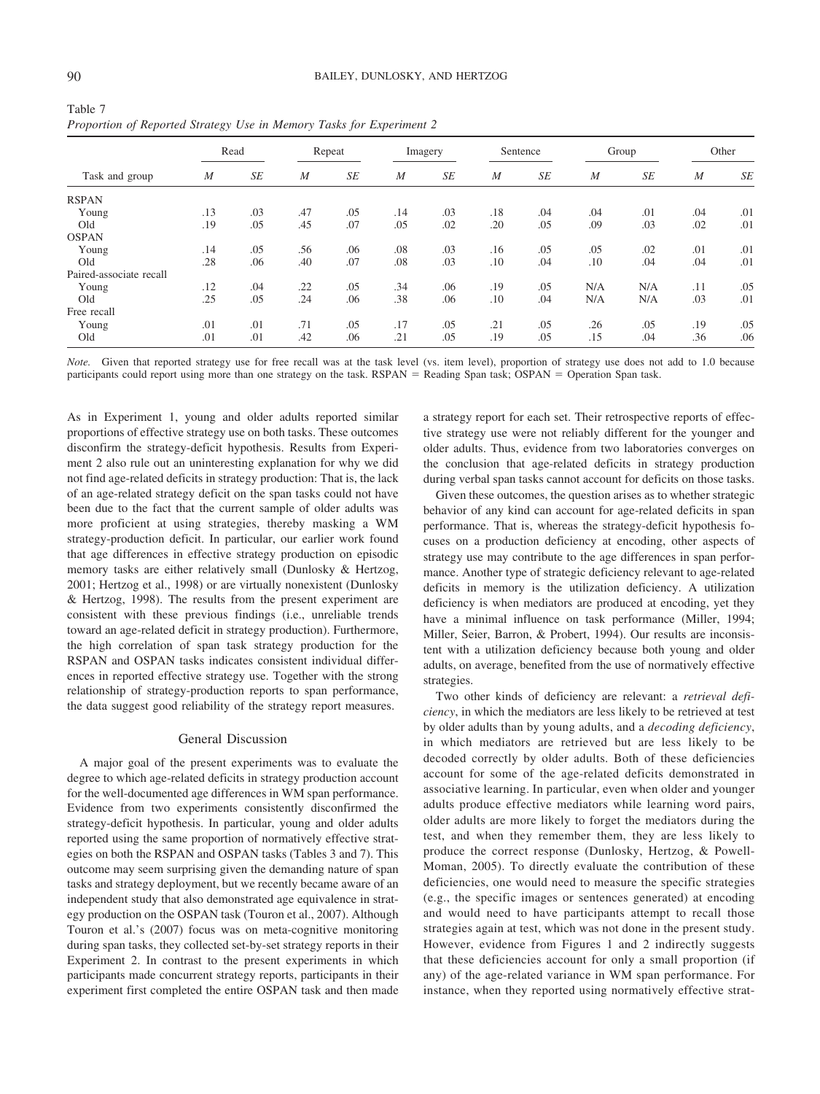| Table 7                                                              |  |  |  |
|----------------------------------------------------------------------|--|--|--|
| Proportion of Reported Strategy Use in Memory Tasks for Experiment 2 |  |  |  |

|                         |                  | Read |     | Repeat |                  | Imagery |                  | Sentence |                  | Group     |                  | Other |
|-------------------------|------------------|------|-----|--------|------------------|---------|------------------|----------|------------------|-----------|------------------|-------|
| Task and group          | $\boldsymbol{M}$ | SE   | M   | SE     | $\boldsymbol{M}$ | SE      | $\boldsymbol{M}$ | SE       | $\boldsymbol{M}$ | <b>SE</b> | $\boldsymbol{M}$ | SE    |
| <b>RSPAN</b>            |                  |      |     |        |                  |         |                  |          |                  |           |                  |       |
| Young                   | .13              | .03  | .47 | .05    | .14              | .03     | .18              | .04      | .04              | .01       | .04              | .01   |
| Old                     | .19              | .05  | .45 | .07    | .05              | .02     | .20              | .05      | .09              | .03       | .02              | .01   |
| <b>OSPAN</b>            |                  |      |     |        |                  |         |                  |          |                  |           |                  |       |
| Young                   | .14              | .05  | .56 | .06    | .08              | .03     | .16              | .05      | .05              | .02       | .01              | .01   |
| Old                     | .28              | .06  | .40 | .07    | .08              | .03     | .10              | .04      | .10              | .04       | .04              | .01   |
| Paired-associate recall |                  |      |     |        |                  |         |                  |          |                  |           |                  |       |
| Young                   | .12              | .04  | .22 | .05    | .34              | .06     | .19              | .05      | N/A              | N/A       | .11              | .05   |
| Old                     | .25              | .05  | .24 | .06    | .38              | .06     | .10              | .04      | N/A              | N/A       | .03              | .01   |
| Free recall             |                  |      |     |        |                  |         |                  |          |                  |           |                  |       |
| Young                   | .01              | .01  | .71 | .05    | .17              | .05     | .21              | .05      | .26              | .05       | .19              | .05   |
| Old                     | .01              | .01  | .42 | .06    | .21              | .05     | .19              | .05      | .15              | .04       | .36              | .06   |

*Note.* Given that reported strategy use for free recall was at the task level (vs. item level), proportion of strategy use does not add to 1.0 because participants could report using more than one strategy on the task.  $RSPAN =$  Reading Span task;  $OSPAN =$  Operation Span task.

As in Experiment 1, young and older adults reported similar proportions of effective strategy use on both tasks. These outcomes disconfirm the strategy-deficit hypothesis. Results from Experiment 2 also rule out an uninteresting explanation for why we did not find age-related deficits in strategy production: That is, the lack of an age-related strategy deficit on the span tasks could not have been due to the fact that the current sample of older adults was more proficient at using strategies, thereby masking a WM strategy-production deficit. In particular, our earlier work found that age differences in effective strategy production on episodic memory tasks are either relatively small (Dunlosky & Hertzog, 2001; Hertzog et al., 1998) or are virtually nonexistent (Dunlosky & Hertzog, 1998). The results from the present experiment are consistent with these previous findings (i.e., unreliable trends toward an age-related deficit in strategy production). Furthermore, the high correlation of span task strategy production for the RSPAN and OSPAN tasks indicates consistent individual differences in reported effective strategy use. Together with the strong relationship of strategy-production reports to span performance, the data suggest good reliability of the strategy report measures.

## General Discussion

A major goal of the present experiments was to evaluate the degree to which age-related deficits in strategy production account for the well-documented age differences in WM span performance. Evidence from two experiments consistently disconfirmed the strategy-deficit hypothesis. In particular, young and older adults reported using the same proportion of normatively effective strategies on both the RSPAN and OSPAN tasks (Tables 3 and 7). This outcome may seem surprising given the demanding nature of span tasks and strategy deployment, but we recently became aware of an independent study that also demonstrated age equivalence in strategy production on the OSPAN task (Touron et al., 2007). Although Touron et al.'s (2007) focus was on meta-cognitive monitoring during span tasks, they collected set-by-set strategy reports in their Experiment 2. In contrast to the present experiments in which participants made concurrent strategy reports, participants in their experiment first completed the entire OSPAN task and then made

a strategy report for each set. Their retrospective reports of effective strategy use were not reliably different for the younger and older adults. Thus, evidence from two laboratories converges on the conclusion that age-related deficits in strategy production during verbal span tasks cannot account for deficits on those tasks.

Given these outcomes, the question arises as to whether strategic behavior of any kind can account for age-related deficits in span performance. That is, whereas the strategy-deficit hypothesis focuses on a production deficiency at encoding, other aspects of strategy use may contribute to the age differences in span performance. Another type of strategic deficiency relevant to age-related deficits in memory is the utilization deficiency. A utilization deficiency is when mediators are produced at encoding, yet they have a minimal influence on task performance (Miller, 1994; Miller, Seier, Barron, & Probert, 1994). Our results are inconsistent with a utilization deficiency because both young and older adults, on average, benefited from the use of normatively effective strategies.

Two other kinds of deficiency are relevant: a *retrieval deficiency*, in which the mediators are less likely to be retrieved at test by older adults than by young adults, and a *decoding deficiency*, in which mediators are retrieved but are less likely to be decoded correctly by older adults. Both of these deficiencies account for some of the age-related deficits demonstrated in associative learning. In particular, even when older and younger adults produce effective mediators while learning word pairs, older adults are more likely to forget the mediators during the test, and when they remember them, they are less likely to produce the correct response (Dunlosky, Hertzog, & Powell-Moman, 2005). To directly evaluate the contribution of these deficiencies, one would need to measure the specific strategies (e.g., the specific images or sentences generated) at encoding and would need to have participants attempt to recall those strategies again at test, which was not done in the present study. However, evidence from Figures 1 and 2 indirectly suggests that these deficiencies account for only a small proportion (if any) of the age-related variance in WM span performance. For instance, when they reported using normatively effective strat-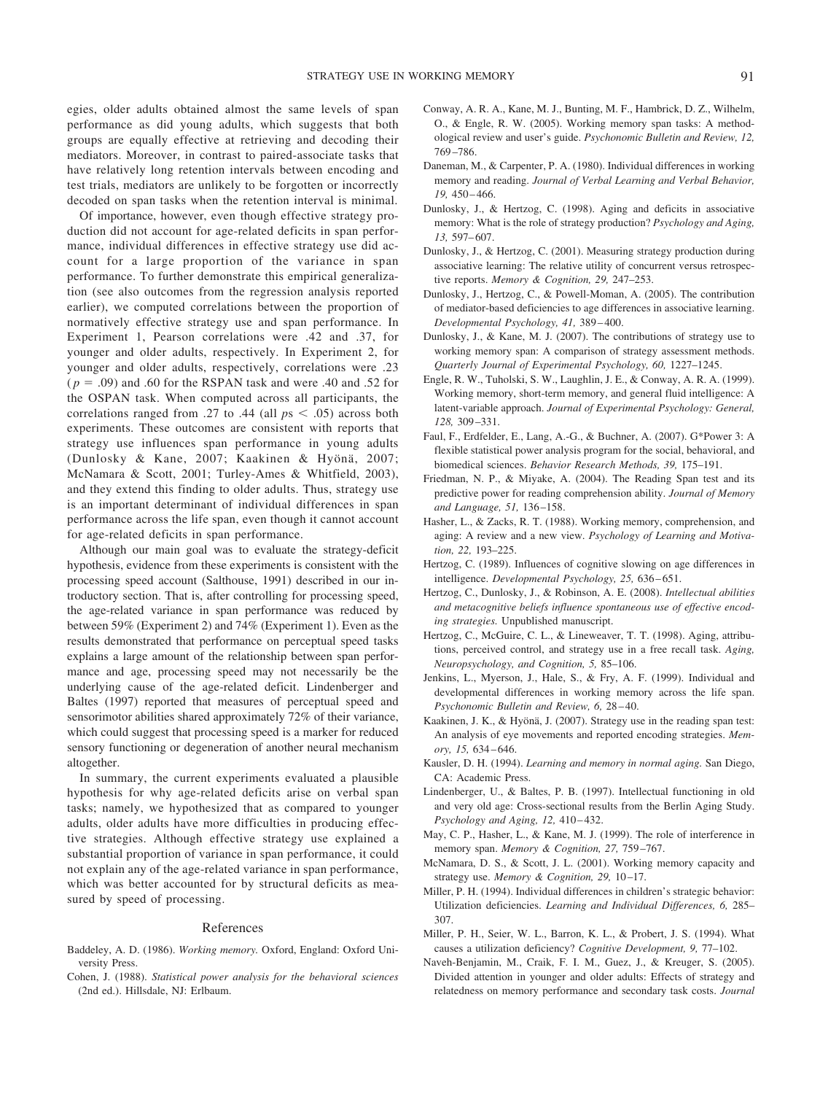egies, older adults obtained almost the same levels of span performance as did young adults, which suggests that both groups are equally effective at retrieving and decoding their mediators. Moreover, in contrast to paired-associate tasks that have relatively long retention intervals between encoding and test trials, mediators are unlikely to be forgotten or incorrectly decoded on span tasks when the retention interval is minimal.

Of importance, however, even though effective strategy production did not account for age-related deficits in span performance, individual differences in effective strategy use did account for a large proportion of the variance in span performance. To further demonstrate this empirical generalization (see also outcomes from the regression analysis reported earlier), we computed correlations between the proportion of normatively effective strategy use and span performance. In Experiment 1, Pearson correlations were .42 and .37, for younger and older adults, respectively. In Experiment 2, for younger and older adults, respectively, correlations were .23  $(p = .09)$  and .60 for the RSPAN task and were .40 and .52 for the OSPAN task. When computed across all participants, the correlations ranged from .27 to .44 (all  $ps < .05$ ) across both experiments. These outcomes are consistent with reports that strategy use influences span performance in young adults (Dunlosky & Kane, 2007; Kaakinen & Hyönä, 2007; McNamara & Scott, 2001; Turley-Ames & Whitfield, 2003), and they extend this finding to older adults. Thus, strategy use is an important determinant of individual differences in span performance across the life span, even though it cannot account for age-related deficits in span performance.

Although our main goal was to evaluate the strategy-deficit hypothesis, evidence from these experiments is consistent with the processing speed account (Salthouse, 1991) described in our introductory section. That is, after controlling for processing speed, the age-related variance in span performance was reduced by between 59% (Experiment 2) and 74% (Experiment 1). Even as the results demonstrated that performance on perceptual speed tasks explains a large amount of the relationship between span performance and age, processing speed may not necessarily be the underlying cause of the age-related deficit. Lindenberger and Baltes (1997) reported that measures of perceptual speed and sensorimotor abilities shared approximately 72% of their variance, which could suggest that processing speed is a marker for reduced sensory functioning or degeneration of another neural mechanism altogether.

In summary, the current experiments evaluated a plausible hypothesis for why age-related deficits arise on verbal span tasks; namely, we hypothesized that as compared to younger adults, older adults have more difficulties in producing effective strategies. Although effective strategy use explained a substantial proportion of variance in span performance, it could not explain any of the age-related variance in span performance, which was better accounted for by structural deficits as measured by speed of processing.

#### References

- Baddeley, A. D. (1986). *Working memory.* Oxford, England: Oxford University Press.
- Cohen, J. (1988). *Statistical power analysis for the behavioral sciences* (2nd ed.). Hillsdale, NJ: Erlbaum.
- Conway, A. R. A., Kane, M. J., Bunting, M. F., Hambrick, D. Z., Wilhelm, O., & Engle, R. W. (2005). Working memory span tasks: A methodological review and user's guide. *Psychonomic Bulletin and Review, 12,* 769 –786.
- Daneman, M., & Carpenter, P. A. (1980). Individual differences in working memory and reading. *Journal of Verbal Learning and Verbal Behavior, 19,* 450 – 466.
- Dunlosky, J., & Hertzog, C. (1998). Aging and deficits in associative memory: What is the role of strategy production? *Psychology and Aging, 13,* 597– 607.
- Dunlosky, J., & Hertzog, C. (2001). Measuring strategy production during associative learning: The relative utility of concurrent versus retrospective reports. *Memory & Cognition, 29,* 247–253.
- Dunlosky, J., Hertzog, C., & Powell-Moman, A. (2005). The contribution of mediator-based deficiencies to age differences in associative learning. *Developmental Psychology, 41,* 389 – 400.
- Dunlosky, J., & Kane, M. J. (2007). The contributions of strategy use to working memory span: A comparison of strategy assessment methods. *Quarterly Journal of Experimental Psychology, 60,* 1227–1245.
- Engle, R. W., Tuholski, S. W., Laughlin, J. E., & Conway, A. R. A. (1999). Working memory, short-term memory, and general fluid intelligence: A latent-variable approach. *Journal of Experimental Psychology: General, 128,* 309 –331.
- Faul, F., Erdfelder, E., Lang, A.-G., & Buchner, A. (2007). G\*Power 3: A flexible statistical power analysis program for the social, behavioral, and biomedical sciences. *Behavior Research Methods, 39,* 175–191.
- Friedman, N. P., & Miyake, A. (2004). The Reading Span test and its predictive power for reading comprehension ability. *Journal of Memory and Language, 51,* 136 –158.
- Hasher, L., & Zacks, R. T. (1988). Working memory, comprehension, and aging: A review and a new view. *Psychology of Learning and Motivation, 22,* 193–225.
- Hertzog, C. (1989). Influences of cognitive slowing on age differences in intelligence. *Developmental Psychology, 25,* 636 – 651.
- Hertzog, C., Dunlosky, J., & Robinson, A. E. (2008). *Intellectual abilities and metacognitive beliefs influence spontaneous use of effective encoding strategies.* Unpublished manuscript.
- Hertzog, C., McGuire, C. L., & Lineweaver, T. T. (1998). Aging, attributions, perceived control, and strategy use in a free recall task. *Aging, Neuropsychology, and Cognition, 5,* 85–106.
- Jenkins, L., Myerson, J., Hale, S., & Fry, A. F. (1999). Individual and developmental differences in working memory across the life span. *Psychonomic Bulletin and Review, 6,* 28 – 40.
- Kaakinen, J. K., & Hyönä, J. (2007). Strategy use in the reading span test: An analysis of eye movements and reported encoding strategies. *Memory, 15,* 634 – 646.
- Kausler, D. H. (1994). *Learning and memory in normal aging.* San Diego, CA: Academic Press.
- Lindenberger, U., & Baltes, P. B. (1997). Intellectual functioning in old and very old age: Cross-sectional results from the Berlin Aging Study. *Psychology and Aging, 12,* 410 – 432.
- May, C. P., Hasher, L., & Kane, M. J. (1999). The role of interference in memory span. *Memory & Cognition, 27,* 759 –767.
- McNamara, D. S., & Scott, J. L. (2001). Working memory capacity and strategy use. *Memory & Cognition*, 29, 10-17.
- Miller, P. H. (1994). Individual differences in children's strategic behavior: Utilization deficiencies. *Learning and Individual Differences, 6,* 285– 307.
- Miller, P. H., Seier, W. L., Barron, K. L., & Probert, J. S. (1994). What causes a utilization deficiency? *Cognitive Development, 9,* 77–102.
- Naveh-Benjamin, M., Craik, F. I. M., Guez, J., & Kreuger, S. (2005). Divided attention in younger and older adults: Effects of strategy and relatedness on memory performance and secondary task costs. *Journal*